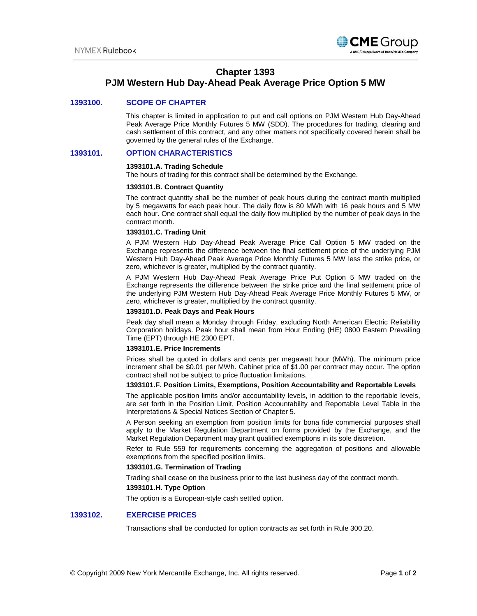

# **Chapter 1393**

# **PJM Western Hub Day-Ahead Peak Average Price Option 5 MW**

# **1393100. SCOPE OF CHAPTER**

This chapter is limited in application to put and call options on PJM Western Hub Day-Ahead Peak Average Price Monthly Futures 5 MW (SDD). The procedures for trading, clearing and cash settlement of this contract, and any other matters not specifically covered herein shall be governed by the general rules of the Exchange.

# **1393101. OPTION CHARACTERISTICS**

#### **1393101.A. Trading Schedule**

The hours of trading for this contract shall be determined by the Exchange.

#### **1393101.B. Contract Quantity**

The contract quantity shall be the number of peak hours during the contract month multiplied by 5 megawatts for each peak hour. The daily flow is 80 MWh with 16 peak hours and 5 MW each hour. One contract shall equal the daily flow multiplied by the number of peak days in the contract month.

## **1393101.C. Trading Unit**

A PJM Western Hub Day-Ahead Peak Average Price Call Option 5 MW traded on the Exchange represents the difference between the final settlement price of the underlying PJM Western Hub Day-Ahead Peak Average Price Monthly Futures 5 MW less the strike price, or zero, whichever is greater, multiplied by the contract quantity.

A PJM Western Hub Day-Ahead Peak Average Price Put Option 5 MW traded on the Exchange represents the difference between the strike price and the final settlement price of the underlying PJM Western Hub Day-Ahead Peak Average Price Monthly Futures 5 MW, or zero, whichever is greater, multiplied by the contract quantity.

### **1393101.D. Peak Days and Peak Hours**

Peak day shall mean a Monday through Friday, excluding North American Electric Reliability Corporation holidays. Peak hour shall mean from Hour Ending (HE) 0800 Eastern Prevailing Time (EPT) through HE 2300 EPT.

## **1393101.E. Price Increments**

Prices shall be quoted in dollars and cents per megawatt hour (MWh). The minimum price increment shall be \$0.01 per MWh. Cabinet price of \$1.00 per contract may occur. The option contract shall not be subject to price fluctuation limitations.

# **1393101.F. Position Limits, Exemptions, Position Accountability and Reportable Levels**

The applicable position limits and/or accountability levels, in addition to the reportable levels, are set forth in the Position Limit, Position Accountability and Reportable Level Table in the Interpretations & Special Notices Section of Chapter 5.

A Person seeking an exemption from position limits for bona fide commercial purposes shall apply to the Market Regulation Department on forms provided by the Exchange, and the Market Regulation Department may grant qualified exemptions in its sole discretion.

Refer to Rule 559 for requirements concerning the aggregation of positions and allowable exemptions from the specified position limits.

## **1393101.G. Termination of Trading**

Trading shall cease on the business prior to the last business day of the contract month.

# **1393101.H. Type Option**

The option is a European-style cash settled option.

## **1393102. EXERCISE PRICES**

Transactions shall be conducted for option contracts as set forth in Rule 300.20.